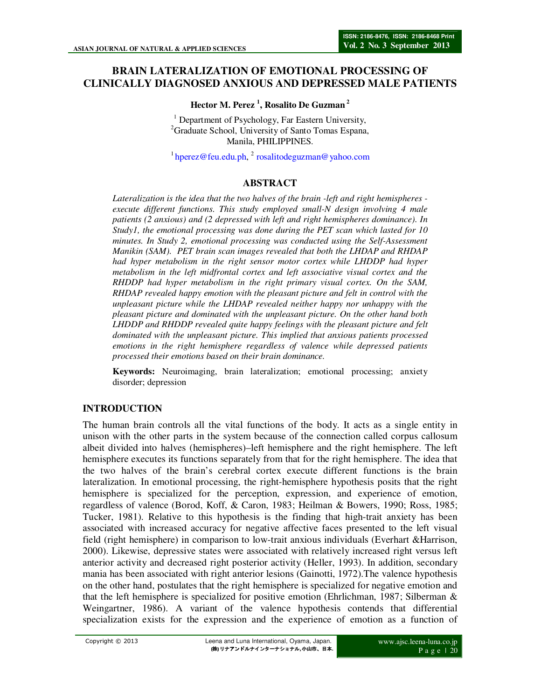# **BRAIN LATERALIZATION OF EMOTIONAL PROCESSING OF CLINICALLY DIAGNOSED ANXIOUS AND DEPRESSED MALE PATIENTS**

### **Hector M. Perez <sup>1</sup> , Rosalito De Guzman<sup>2</sup>**

<sup>1</sup> Department of Psychology, Far Eastern University, <sup>2</sup>Graduate School, University of Santo Tomas Espana, Manila, PHILIPPINES.

 $1$ hperez@feu.edu.ph,  $2$  rosalitodeguzman@yahoo.com

### **ABSTRACT**

*Lateralization is the idea that the two halves of the brain -left and right hemispheres execute different functions. This study employed small-N design involving 4 male patients (2 anxious) and (2 depressed with left and right hemispheres dominance). In Study1, the emotional processing was done during the PET scan which lasted for 10 minutes. In Study 2, emotional processing was conducted using the Self-Assessment Manikin (SAM). PET brain scan images revealed that both the LHDAP and RHDAP had hyper metabolism in the right sensor motor cortex while LHDDP had hyper metabolism in the left midfrontal cortex and left associative visual cortex and the RHDDP had hyper metabolism in the right primary visual cortex. On the SAM, RHDAP revealed happy emotion with the pleasant picture and felt in control with the unpleasant picture while the LHDAP revealed neither happy nor unhappy with the pleasant picture and dominated with the unpleasant picture. On the other hand both LHDDP and RHDDP revealed quite happy feelings with the pleasant picture and felt dominated with the unpleasant picture. This implied that anxious patients processed emotions in the right hemisphere regardless of valence while depressed patients processed their emotions based on their brain dominance.* 

**Keywords:** Neuroimaging, brain lateralization; emotional processing; anxiety disorder; depression

# **INTRODUCTION**

The human brain controls all the vital functions of the body. It acts as a single entity in unison with the other parts in the system because of the connection called corpus callosum albeit divided into halves (hemispheres)–left hemisphere and the right hemisphere. The left hemisphere executes its functions separately from that for the right hemisphere. The idea that the two halves of the brain's cerebral cortex execute different functions is the brain lateralization. In emotional processing, the right-hemisphere hypothesis posits that the right hemisphere is specialized for the perception, expression, and experience of emotion, regardless of valence (Borod, Koff, & Caron, 1983; Heilman & Bowers, 1990; Ross, 1985; Tucker, 1981). Relative to this hypothesis is the finding that high-trait anxiety has been associated with increased accuracy for negative affective faces presented to the left visual field (right hemisphere) in comparison to low-trait anxious individuals (Everhart &Harrison, 2000). Likewise, depressive states were associated with relatively increased right versus left anterior activity and decreased right posterior activity (Heller, 1993). In addition, secondary mania has been associated with right anterior lesions (Gainotti, 1972).The valence hypothesis on the other hand, postulates that the right hemisphere is specialized for negative emotion and that the left hemisphere is specialized for positive emotion (Ehrlichman, 1987; Silberman & Weingartner, 1986). A variant of the valence hypothesis contends that differential specialization exists for the expression and the experience of emotion as a function of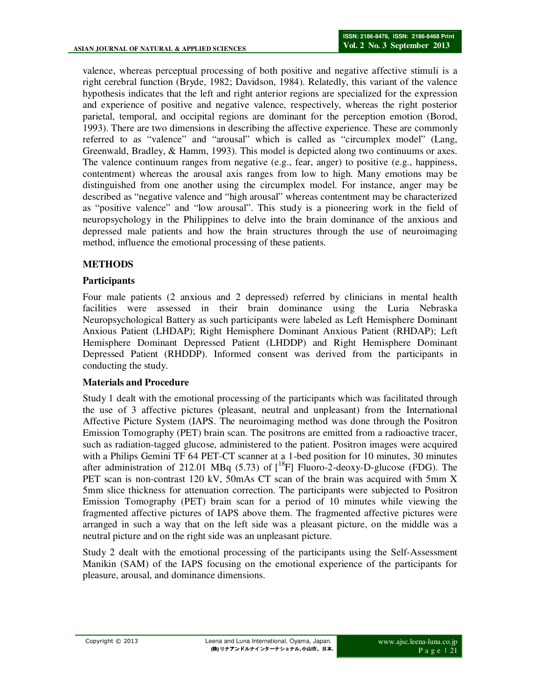valence, whereas perceptual processing of both positive and negative affective stimuli is a right cerebral function (Bryde, 1982; Davidson, 1984). Relatedly, this variant of the valence hypothesis indicates that the left and right anterior regions are specialized for the expression and experience of positive and negative valence, respectively, whereas the right posterior parietal, temporal, and occipital regions are dominant for the perception emotion (Borod, 1993). There are two dimensions in describing the affective experience. These are commonly referred to as "valence" and "arousal" which is called as "circumplex model" (Lang, Greenwald, Bradley, & Hamm, 1993). This model is depicted along two continuums or axes. The valence continuum ranges from negative (e.g., fear, anger) to positive (e.g., happiness, contentment) whereas the arousal axis ranges from low to high. Many emotions may be distinguished from one another using the circumplex model. For instance, anger may be described as "negative valence and "high arousal" whereas contentment may be characterized as "positive valence" and "low arousal". This study is a pioneering work in the field of neuropsychology in the Philippines to delve into the brain dominance of the anxious and depressed male patients and how the brain structures through the use of neuroimaging method, influence the emotional processing of these patients.

### **METHODS**

### **Participants**

Four male patients (2 anxious and 2 depressed) referred by clinicians in mental health facilities were assessed in their brain dominance using the Luria Nebraska Neuropsychological Battery as such participants were labeled as Left Hemisphere Dominant Anxious Patient (LHDAP); Right Hemisphere Dominant Anxious Patient (RHDAP); Left Hemisphere Dominant Depressed Patient (LHDDP) and Right Hemisphere Dominant Depressed Patient (RHDDP). Informed consent was derived from the participants in conducting the study.

### **Materials and Procedure**

Study 1 dealt with the emotional processing of the participants which was facilitated through the use of 3 affective pictures (pleasant, neutral and unpleasant) from the International Affective Picture System (IAPS. The neuroimaging method was done through the Positron Emission Tomography (PET) brain scan. The positrons are emitted from a radioactive tracer, such as radiation-tagged glucose, administered to the patient. Positron images were acquired with a Philips Gemini TF 64 PET-CT scanner at a 1-bed position for 10 minutes, 30 minutes after administration of 212.01 MBq (5.73) of  $[^{18}F]$  Fluoro-2-deoxy-D-glucose (FDG). The PET scan is non-contrast 120 kV, 50mAs CT scan of the brain was acquired with 5mm X 5mm slice thickness for attenuation correction. The participants were subjected to Positron Emission Tomography (PET) brain scan for a period of 10 minutes while viewing the fragmented affective pictures of IAPS above them. The fragmented affective pictures were arranged in such a way that on the left side was a pleasant picture, on the middle was a neutral picture and on the right side was an unpleasant picture.

Study 2 dealt with the emotional processing of the participants using the Self-Assessment Manikin (SAM) of the IAPS focusing on the emotional experience of the participants for pleasure, arousal, and dominance dimensions.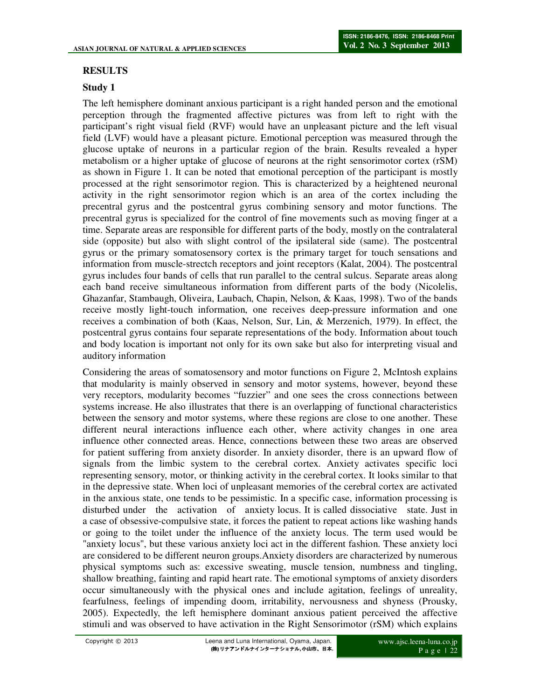# **RESULTS**

### **Study 1**

The left hemisphere dominant anxious participant is a right handed person and the emotional perception through the fragmented affective pictures was from left to right with the participant's right visual field (RVF) would have an unpleasant picture and the left visual field (LVF) would have a pleasant picture. Emotional perception was measured through the glucose uptake of neurons in a particular region of the brain. Results revealed a hyper metabolism or a higher uptake of glucose of neurons at the right sensorimotor cortex (rSM) as shown in Figure 1. It can be noted that emotional perception of the participant is mostly processed at the right sensorimotor region. This is characterized by a heightened neuronal activity in the right sensorimotor region which is an area of the cortex including the precentral gyrus and the postcentral gyrus combining sensory and motor functions. The precentral gyrus is specialized for the control of fine movements such as moving finger at a time. Separate areas are responsible for different parts of the body, mostly on the contralateral side (opposite) but also with slight control of the ipsilateral side (same). The postcentral gyrus or the primary somatosensory cortex is the primary target for touch sensations and information from muscle-strectch receptors and joint receptors (Kalat, 2004). The postcentral gyrus includes four bands of cells that run parallel to the central sulcus. Separate areas along each band receive simultaneous information from different parts of the body (Nicolelis, Ghazanfar, Stambaugh, Oliveira, Laubach, Chapin, Nelson, & Kaas, 1998). Two of the bands receive mostly light-touch information, one receives deep-pressure information and one receives a combination of both (Kaas, Nelson, Sur, Lin, & Merzenich, 1979). In effect, the postcentral gyrus contains four separate representations of the body. Information about touch and body location is important not only for its own sake but also for interpreting visual and auditory information

Considering the areas of somatosensory and motor functions on Figure 2, McIntosh explains that modularity is mainly observed in sensory and motor systems, however, beyond these very receptors, modularity becomes "fuzzier" and one sees the cross connections between systems increase. He also illustrates that there is an overlapping of functional characteristics between the sensory and motor systems, where these regions are close to one another. These different neural interactions influence each other, where activity changes in one area influence other connected areas. Hence, connections between these two areas are observed for patient suffering from anxiety disorder. In anxiety disorder, there is an upward flow of signals from the limbic system to the cerebral cortex. Anxiety activates specific loci representing sensory, motor, or thinking activity in the cerebral cortex. It looks similar to that in the depressive state. When loci of unpleasant memories of the cerebral cortex are activated in the anxious state, one tends to be pessimistic. In a specific case, information processing is disturbed under the activation of anxiety locus. It is called dissociative state. Just in a case of obsessive-compulsive state, it forces the patient to repeat actions like washing hands or going to the toilet under the influence of the anxiety locus. The term used would be "anxiety locus", but these various anxiety loci act in the different fashion. These anxiety loci are considered to be different neuron groups.Anxiety disorders are characterized by numerous physical symptoms such as: excessive sweating, muscle tension, numbness and tingling, shallow breathing, fainting and rapid heart rate. The emotional symptoms of anxiety disorders occur simultaneously with the physical ones and include agitation, feelings of unreality, fearfulness, feelings of impending doom, irritability, nervousness and shyness (Prousky, 2005). Expectedly, the left hemisphere dominant anxious patient perceived the affective stimuli and was observed to have activation in the Right Sensorimotor (rSM) which explains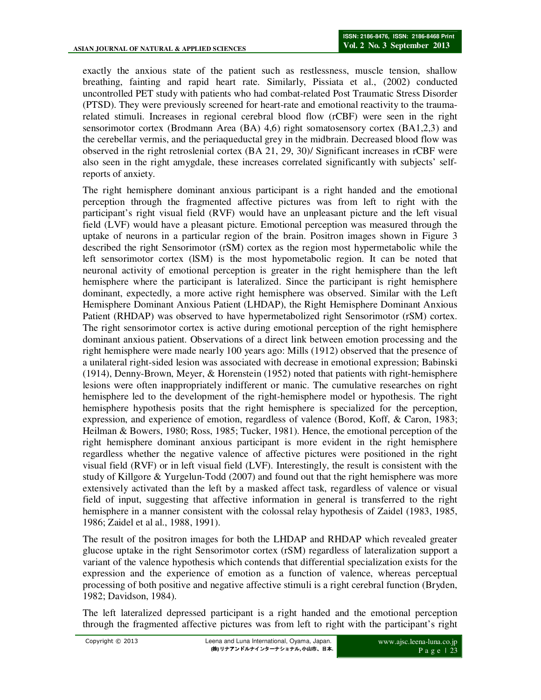exactly the anxious state of the patient such as restlessness, muscle tension, shallow breathing, fainting and rapid heart rate. Similarly, Pissiata et al., (2002) conducted uncontrolled PET study with patients who had combat-related Post Traumatic Stress Disorder (PTSD). They were previously screened for heart-rate and emotional reactivity to the traumarelated stimuli. Increases in regional cerebral blood flow (rCBF) were seen in the right sensorimotor cortex (Brodmann Area (BA) 4,6) right somatosensory cortex (BA1,2,3) and the cerebellar vermis, and the periaqueductal grey in the midbrain. Decreased blood flow was observed in the right retroslenial cortex (BA 21, 29, 30)/ Significant increases in rCBF were also seen in the right amygdale, these increases correlated significantly with subjects' selfreports of anxiety.

The right hemisphere dominant anxious participant is a right handed and the emotional perception through the fragmented affective pictures was from left to right with the participant's right visual field (RVF) would have an unpleasant picture and the left visual field (LVF) would have a pleasant picture. Emotional perception was measured through the uptake of neurons in a particular region of the brain. Positron images shown in Figure 3 described the right Sensorimotor (rSM) cortex as the region most hypermetabolic while the left sensorimotor cortex (lSM) is the most hypometabolic region. It can be noted that neuronal activity of emotional perception is greater in the right hemisphere than the left hemisphere where the participant is lateralized. Since the participant is right hemisphere dominant, expectedly, a more active right hemisphere was observed. Similar with the Left Hemisphere Dominant Anxious Patient (LHDAP), the Right Hemisphere Dominant Anxious Patient (RHDAP) was observed to have hypermetabolized right Sensorimotor (rSM) cortex. The right sensorimotor cortex is active during emotional perception of the right hemisphere dominant anxious patient. Observations of a direct link between emotion processing and the right hemisphere were made nearly 100 years ago: Mills (1912) observed that the presence of a unilateral right-sided lesion was associated with decrease in emotional expression; Babinski (1914), Denny-Brown, Meyer, & Horenstein (1952) noted that patients with right-hemisphere lesions were often inappropriately indifferent or manic. The cumulative researches on right hemisphere led to the development of the right-hemisphere model or hypothesis. The right hemisphere hypothesis posits that the right hemisphere is specialized for the perception, expression, and experience of emotion, regardless of valence (Borod, Koff, & Caron, 1983; Heilman & Bowers, 1980; Ross, 1985; Tucker, 1981). Hence, the emotional perception of the right hemisphere dominant anxious participant is more evident in the right hemisphere regardless whether the negative valence of affective pictures were positioned in the right visual field (RVF) or in left visual field (LVF). Interestingly, the result is consistent with the study of Killgore & Yurgelun-Todd (2007) and found out that the right hemisphere was more extensively activated than the left by a masked affect task, regardless of valence or visual field of input, suggesting that affective information in general is transferred to the right hemisphere in a manner consistent with the colossal relay hypothesis of Zaidel (1983, 1985, 1986; Zaidel et al al., 1988, 1991).

The result of the positron images for both the LHDAP and RHDAP which revealed greater glucose uptake in the right Sensorimotor cortex (rSM) regardless of lateralization support a variant of the valence hypothesis which contends that differential specialization exists for the expression and the experience of emotion as a function of valence, whereas perceptual processing of both positive and negative affective stimuli is a right cerebral function (Bryden, 1982; Davidson, 1984).

The left lateralized depressed participant is a right handed and the emotional perception through the fragmented affective pictures was from left to right with the participant's right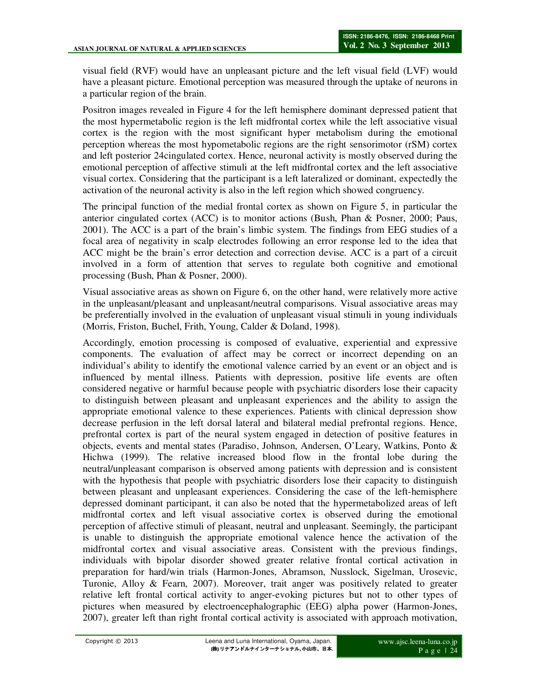visual field (RVF) would have an unpleasant picture and the left visual field (LVF) would have a pleasant picture. Emotional perception was measured through the uptake of neurons in a particular region of the brain.

Positron images revealed in Figure 4 for the left hemisphere dominant depressed patient that the most hypermetabolic region is the left midfrontal cortex while the left associative visual cortex is the region with the most significant hyper metabolism during the emotional perception whereas the most hypometabolic regions are the right sensorimotor (rSM) cortex and left posterior 24cingulated cortex. Hence, neuronal activity is mostly observed during the emotional perception of affective stimuli at the left midfrontal cortex and the left associative visual cortex. Considering that the participant is a left lateralized or dominant, expectedly the activation of the neuronal activity is also in the left region which showed congruency.

The principal function of the medial frontal cortex as shown on Figure 5, in particular the anterior cingulated cortex (ACC) is to monitor actions (Bush, Phan & Posner, 2000; Paus, 2001). The ACC is a part of the brain's limbic system. The findings from EEG studies of a focal area of negativity in scalp electrodes following an error response led to the idea that ACC might be the brain's error detection and correction devise. ACC is a part of a circuit involved in a form of attention that serves to regulate both cognitive and emotional processing (Bush, Phan & Posner, 2000).

Visual associative areas as shown on Figure 6, on the other hand, were relatively more active in the unpleasant/pleasant and unpleasant/neutral comparisons. Visual associative areas may be preferentially involved in the evaluation of unpleasant visual stimuli in young individuals (Morris, Friston, Buchel, Frith, Young, Calder & Doland, 1998).

Accordingly, emotion processing is composed of evaluative, experiential and expressive components. The evaluation of affect may be correct or incorrect depending on an individual's ability to identify the emotional valence carried by an event or an object and is influenced by mental illness. Patients with depression, positive life events are often considered negative or harmful because people with psychiatric disorders lose their capacity to distinguish between pleasant and unpleasant experiences and the ability to assign the appropriate emotional valence to these experiences. Patients with clinical depression show decrease perfusion in the left dorsal lateral and bilateral medial prefrontal regions. Hence, prefrontal cortex is part of the neural system engaged in detection of positive features in objects, events and mental states (Paradiso, Johnson, Andersen, O'Leary, Watkins, Ponto & Hichwa (1999). The relative increased blood flow in the frontal lobe during the neutral/unpleasant comparison is observed among patients with depression and is consistent with the hypothesis that people with psychiatric disorders lose their capacity to distinguish between pleasant and unpleasant experiences. Considering the case of the left-hemisphere depressed dominant participant, it can also be noted that the hypermetabolized areas of left midfrontal cortex and left visual associative cortex is observed during the emotional perception of affective stimuli of pleasant, neutral and unpleasant. Seemingly, the participant is unable to distinguish the appropriate emotional valence hence the activation of the midfrontal cortex and visual associative areas. Consistent with the previous findings, individuals with bipolar disorder showed greater relative frontal cortical activation in preparation for hard/win trials (Harmon-Jones, Abramson, Nusslock, Sigelman, Urosevic, Turonie, Alloy & Fearn, 2007). Moreover, trait anger was positively related to greater relative left frontal cortical activity to anger-evoking pictures but not to other types of pictures when measured by electroencephalographic (EEG) alpha power (Harmon-Jones, 2007), greater left than right frontal cortical activity is associated with approach motivation,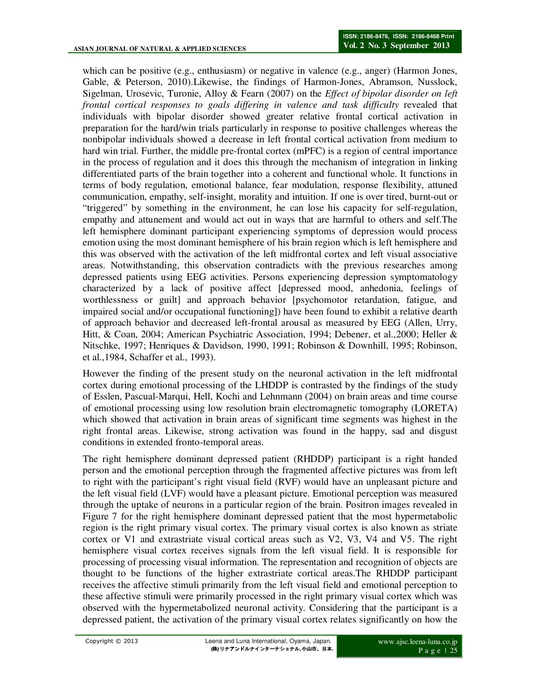which can be positive (e.g., enthusiasm) or negative in valence (e.g., anger) (Harmon Jones, Gable, & Peterson, 2010).Likewise, the findings of Harmon-Jones, Abramson, Nusslock, Sigelman, Urosevic, Turonie, Alloy & Fearn (2007) on the *Effect of bipolar disorder on left frontal cortical responses to goals differing in valence and task difficulty* revealed that individuals with bipolar disorder showed greater relative frontal cortical activation in preparation for the hard/win trials particularly in response to positive challenges whereas the nonbipolar individuals showed a decrease in left frontal cortical activation from medium to hard win trial. Further, the middle pre-frontal cortex (mPFC) is a region of central importance in the process of regulation and it does this through the mechanism of integration in linking differentiated parts of the brain together into a coherent and functional whole. It functions in terms of body regulation, emotional balance, fear modulation, response flexibility, attuned communication, empathy, self-insight, morality and intuition. If one is over tired, burnt-out or "triggered" by something in the environment, he can lose his capacity for self-regulation, empathy and attunement and would act out in ways that are harmful to others and self.The left hemisphere dominant participant experiencing symptoms of depression would process emotion using the most dominant hemisphere of his brain region which is left hemisphere and this was observed with the activation of the left midfrontal cortex and left visual associative areas. Notwithstanding, this observation contradicts with the previous researches among depressed patients using EEG activities. Persons experiencing depression symptomatology characterized by a lack of positive affect [depressed mood, anhedonia, feelings of worthlessness or guilt] and approach behavior [psychomotor retardation, fatigue, and impaired social and/or occupational functioning]) have been found to exhibit a relative dearth of approach behavior and decreased left-frontal arousal as measured by EEG (Allen, Urry, Hitt, & Coan, 2004; American Psychiatric Association, 1994; Debener, et al.,2000; Heller & Nitschke, 1997; Henriques & Davidson, 1990, 1991; Robinson & Downhill, 1995; Robinson, et al.,1984, Schaffer et al., 1993).

However the finding of the present study on the neuronal activation in the left midfrontal cortex during emotional processing of the LHDDP is contrasted by the findings of the study of Esslen, Pascual-Marqui, Hell, Kochi and Lehnmann (2004) on brain areas and time course of emotional processing using low resolution brain electromagnetic tomography (LORETA) which showed that activation in brain areas of significant time segments was highest in the right frontal areas. Likewise, strong activation was found in the happy, sad and disgust conditions in extended fronto-temporal areas.

The right hemisphere dominant depressed patient (RHDDP) participant is a right handed person and the emotional perception through the fragmented affective pictures was from left to right with the participant's right visual field (RVF) would have an unpleasant picture and the left visual field (LVF) would have a pleasant picture. Emotional perception was measured through the uptake of neurons in a particular region of the brain. Positron images revealed in Figure 7 for the right hemisphere dominant depressed patient that the most hypermetabolic region is the right primary visual cortex. The primary visual cortex is also known as striate cortex or V1 and extrastriate visual cortical areas such as V2, V3, V4 and V5. The right hemisphere visual cortex receives signals from the left visual field. It is responsible for processing of processing visual information. The representation and recognition of objects are thought to be functions of the higher extrastriate cortical areas.The RHDDP participant receives the affective stimuli primarily from the left visual field and emotional perception to these affective stimuli were primarily processed in the right primary visual cortex which was observed with the hypermetabolized neuronal activity. Considering that the participant is a depressed patient, the activation of the primary visual cortex relates significantly on how the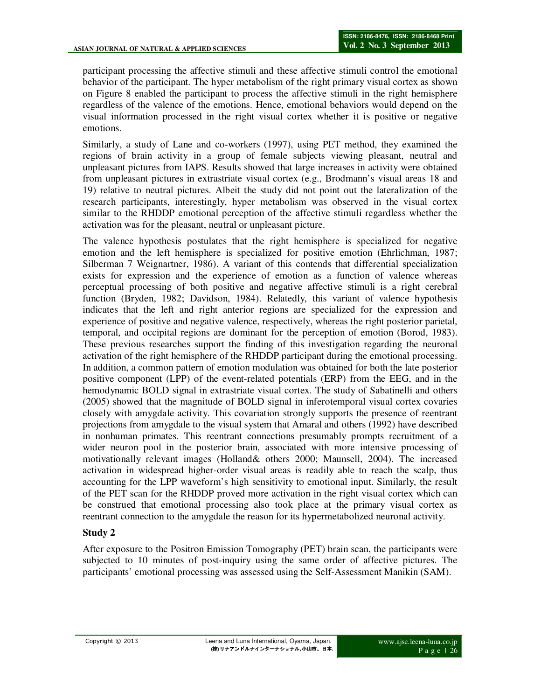participant processing the affective stimuli and these affective stimuli control the emotional behavior of the participant. The hyper metabolism of the right primary visual cortex as shown on Figure 8 enabled the participant to process the affective stimuli in the right hemisphere regardless of the valence of the emotions. Hence, emotional behaviors would depend on the visual information processed in the right visual cortex whether it is positive or negative emotions.

Similarly, a study of Lane and co-workers (1997), using PET method, they examined the regions of brain activity in a group of female subjects viewing pleasant, neutral and unpleasant pictures from IAPS. Results showed that large increases in activity were obtained from unpleasant pictures in extrastriate visual cortex (e.g., Brodmann's visual areas 18 and 19) relative to neutral pictures. Albeit the study did not point out the lateralization of the research participants, interestingly, hyper metabolism was observed in the visual cortex similar to the RHDDP emotional perception of the affective stimuli regardless whether the activation was for the pleasant, neutral or unpleasant picture.

The valence hypothesis postulates that the right hemisphere is specialized for negative emotion and the left hemisphere is specialized for positive emotion (Ehrlichman, 1987; Silberman 7 Weignartner, 1986). A variant of this contends that differential specialization exists for expression and the experience of emotion as a function of valence whereas perceptual processing of both positive and negative affective stimuli is a right cerebral function (Bryden, 1982; Davidson, 1984). Relatedly, this variant of valence hypothesis indicates that the left and right anterior regions are specialized for the expression and experience of positive and negative valence, respectively, whereas the right posterior parietal, temporal, and occipital regions are dominant for the perception of emotion (Borod, 1983). These previous researches support the finding of this investigation regarding the neuronal activation of the right hemisphere of the RHDDP participant during the emotional processing. In addition, a common pattern of emotion modulation was obtained for both the late posterior positive component (LPP) of the event-related potentials (ERP) from the EEG, and in the hemodynamic BOLD signal in extrastriate visual cortex. The study of Sabatinelli and others (2005) showed that the magnitude of BOLD signal in inferotemporal visual cortex covaries closely with amygdale activity. This covariation strongly supports the presence of reentrant projections from amygdale to the visual system that Amaral and others (1992) have described in nonhuman primates. This reentrant connections presumably prompts recruitment of a wider neuron pool in the posterior brain, associated with more intensive processing of motivationally relevant images (Holland& others 2000; Maunsell, 2004). The increased activation in widespread higher-order visual areas is readily able to reach the scalp, thus accounting for the LPP waveform's high sensitivity to emotional input. Similarly, the result of the PET scan for the RHDDP proved more activation in the right visual cortex which can be construed that emotional processing also took place at the primary visual cortex as reentrant connection to the amygdale the reason for its hypermetabolized neuronal activity.

### **Study 2**

After exposure to the Positron Emission Tomography (PET) brain scan, the participants were subjected to 10 minutes of post-inquiry using the same order of affective pictures. The participants' emotional processing was assessed using the Self-Assessment Manikin (SAM).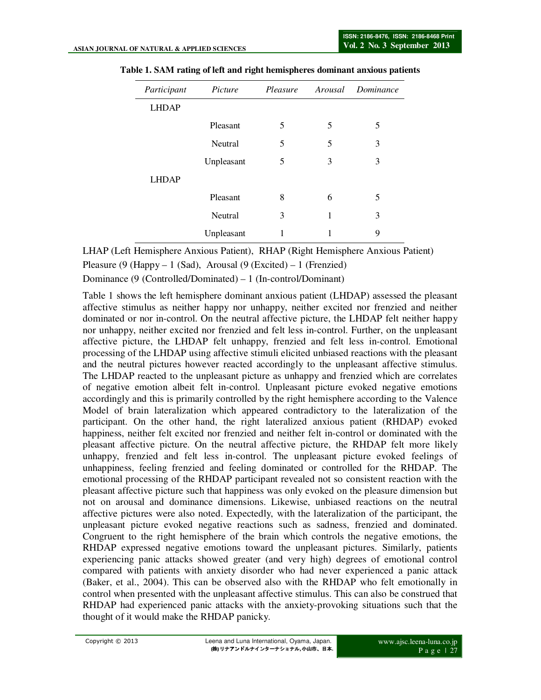| Participant  | Picture    | Pleasure |   | Arousal Dominance |
|--------------|------------|----------|---|-------------------|
| <b>LHDAP</b> |            |          |   |                   |
|              | Pleasant   | 5        | 5 | 5                 |
|              | Neutral    | 5        | 5 | 3                 |
|              | Unpleasant | 5        | 3 | 3                 |
| <b>LHDAP</b> |            |          |   |                   |
|              | Pleasant   | 8        | 6 | 5                 |
|              | Neutral    | 3        | 1 | 3                 |
|              | Unpleasant | 1        |   | 9                 |

|  |  |  | Table 1. SAM rating of left and right hemispheres dominant anxious patients |  |
|--|--|--|-----------------------------------------------------------------------------|--|
|--|--|--|-----------------------------------------------------------------------------|--|

LHAP (Left Hemisphere Anxious Patient), RHAP (Right Hemisphere Anxious Patient)

Pleasure (9 (Happy – 1 (Sad), Arousal (9 (Excited) – 1 (Frenzied)

Dominance (9 (Controlled/Dominated) – 1 (In-control/Dominant)

Table 1 shows the left hemisphere dominant anxious patient (LHDAP) assessed the pleasant affective stimulus as neither happy nor unhappy, neither excited nor frenzied and neither dominated or nor in-control. On the neutral affective picture, the LHDAP felt neither happy nor unhappy, neither excited nor frenzied and felt less in-control. Further, on the unpleasant affective picture, the LHDAP felt unhappy, frenzied and felt less in-control. Emotional processing of the LHDAP using affective stimuli elicited unbiased reactions with the pleasant and the neutral pictures however reacted accordingly to the unpleasant affective stimulus. The LHDAP reacted to the unpleasant picture as unhappy and frenzied which are correlates of negative emotion albeit felt in-control. Unpleasant picture evoked negative emotions accordingly and this is primarily controlled by the right hemisphere according to the Valence Model of brain lateralization which appeared contradictory to the lateralization of the participant. On the other hand, the right lateralized anxious patient (RHDAP) evoked happiness, neither felt excited nor frenzied and neither felt in-control or dominated with the pleasant affective picture. On the neutral affective picture, the RHDAP felt more likely unhappy, frenzied and felt less in-control. The unpleasant picture evoked feelings of unhappiness, feeling frenzied and feeling dominated or controlled for the RHDAP. The emotional processing of the RHDAP participant revealed not so consistent reaction with the pleasant affective picture such that happiness was only evoked on the pleasure dimension but not on arousal and dominance dimensions. Likewise, unbiased reactions on the neutral affective pictures were also noted. Expectedly, with the lateralization of the participant, the unpleasant picture evoked negative reactions such as sadness, frenzied and dominated. Congruent to the right hemisphere of the brain which controls the negative emotions, the RHDAP expressed negative emotions toward the unpleasant pictures. Similarly, patients experiencing panic attacks showed greater (and very high) degrees of emotional control compared with patients with anxiety disorder who had never experienced a panic attack (Baker, et al., 2004). This can be observed also with the RHDAP who felt emotionally in control when presented with the unpleasant affective stimulus. This can also be construed that RHDAP had experienced panic attacks with the anxiety-provoking situations such that the thought of it would make the RHDAP panicky.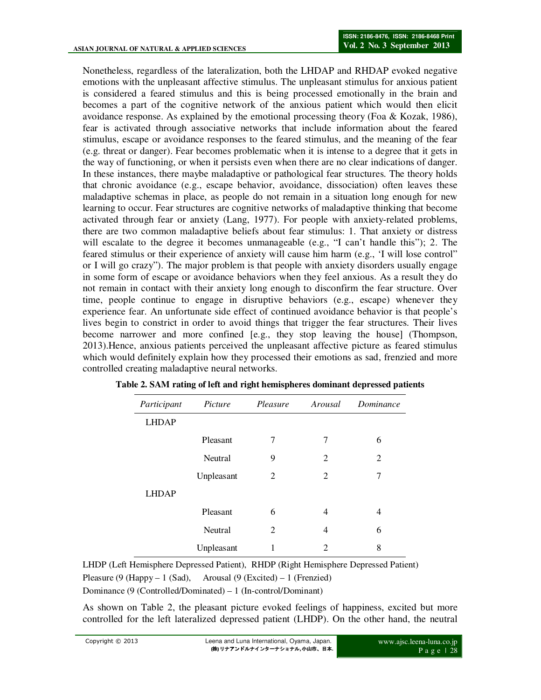Nonetheless, regardless of the lateralization, both the LHDAP and RHDAP evoked negative emotions with the unpleasant affective stimulus. The unpleasant stimulus for anxious patient is considered a feared stimulus and this is being processed emotionally in the brain and becomes a part of the cognitive network of the anxious patient which would then elicit avoidance response. As explained by the emotional processing theory (Foa & Kozak, 1986), fear is activated through associative networks that include information about the feared stimulus, escape or avoidance responses to the feared stimulus, and the meaning of the fear (e.g. threat or danger). Fear becomes problematic when it is intense to a degree that it gets in the way of functioning, or when it persists even when there are no clear indications of danger. In these instances, there maybe maladaptive or pathological fear structures. The theory holds that chronic avoidance (e.g., escape behavior, avoidance, dissociation) often leaves these maladaptive schemas in place, as people do not remain in a situation long enough for new learning to occur. Fear structures are cognitive networks of maladaptive thinking that become activated through fear or anxiety (Lang, 1977). For people with anxiety-related problems, there are two common maladaptive beliefs about fear stimulus: 1. That anxiety or distress will escalate to the degree it becomes unmanageable (e.g., "I can't handle this"); 2. The feared stimulus or their experience of anxiety will cause him harm (e.g., 'I will lose control" or I will go crazy"). The major problem is that people with anxiety disorders usually engage in some form of escape or avoidance behaviors when they feel anxious. As a result they do not remain in contact with their anxiety long enough to disconfirm the fear structure. Over time, people continue to engage in disruptive behaviors (e.g., escape) whenever they experience fear. An unfortunate side effect of continued avoidance behavior is that people's lives begin to constrict in order to avoid things that trigger the fear structures. Their lives become narrower and more confined [e.g., they stop leaving the house] (Thompson, 2013).Hence, anxious patients perceived the unpleasant affective picture as feared stimulus which would definitely explain how they processed their emotions as sad, frenzied and more controlled creating maladaptive neural networks.

| Participant  | Picture        | Pleasure | Arousal                     | Dominance |  |
|--------------|----------------|----------|-----------------------------|-----------|--|
| <b>LHDAP</b> |                |          |                             |           |  |
|              | Pleasant       | 7        | 7                           | 6         |  |
|              | <b>Neutral</b> | 9        | 2                           | 2         |  |
|              | Unpleasant     | 2        | $\mathfrak{D}$              | 7         |  |
| <b>LHDAP</b> |                |          |                             |           |  |
|              | Pleasant       | 6        | 4                           | 4         |  |
|              | <b>Neutral</b> | 2        | 4                           | 6         |  |
|              | Unpleasant     |          | $\mathcal{D}_{\mathcal{A}}$ | 8         |  |

**Table 2. SAM rating of left and right hemispheres dominant depressed patients** 

LHDP (Left Hemisphere Depressed Patient), RHDP (Right Hemisphere Depressed Patient) Pleasure (9 (Happy – 1 (Sad), Arousal (9 (Excited) – 1 (Frenzied) Dominance (9 (Controlled/Dominated) – 1 (In-control/Dominant)

As shown on Table 2, the pleasant picture evoked feelings of happiness, excited but more controlled for the left lateralized depressed patient (LHDP). On the other hand, the neutral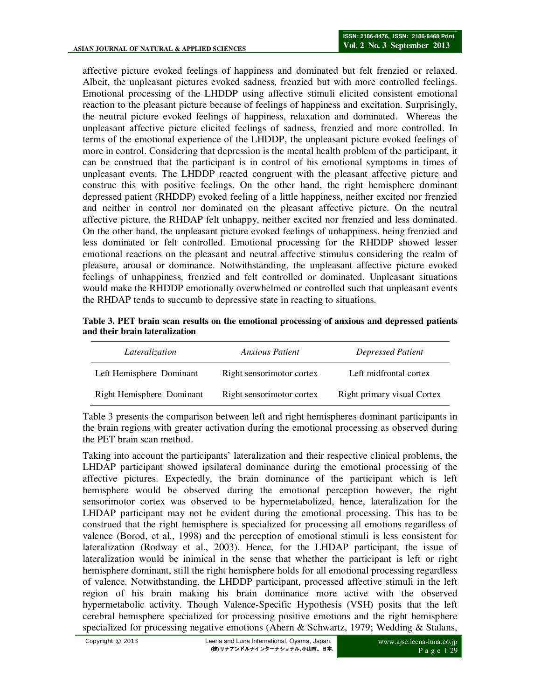affective picture evoked feelings of happiness and dominated but felt frenzied or relaxed. Albeit, the unpleasant pictures evoked sadness, frenzied but with more controlled feelings. Emotional processing of the LHDDP using affective stimuli elicited consistent emotional reaction to the pleasant picture because of feelings of happiness and excitation. Surprisingly, the neutral picture evoked feelings of happiness, relaxation and dominated. Whereas the unpleasant affective picture elicited feelings of sadness, frenzied and more controlled. In terms of the emotional experience of the LHDDP, the unpleasant picture evoked feelings of more in control. Considering that depression is the mental health problem of the participant, it can be construed that the participant is in control of his emotional symptoms in times of unpleasant events. The LHDDP reacted congruent with the pleasant affective picture and construe this with positive feelings. On the other hand, the right hemisphere dominant depressed patient (RHDDP) evoked feeling of a little happiness, neither excited nor frenzied and neither in control nor dominated on the pleasant affective picture. On the neutral affective picture, the RHDAP felt unhappy, neither excited nor frenzied and less dominated. On the other hand, the unpleasant picture evoked feelings of unhappiness, being frenzied and less dominated or felt controlled. Emotional processing for the RHDDP showed lesser emotional reactions on the pleasant and neutral affective stimulus considering the realm of pleasure, arousal or dominance. Notwithstanding, the unpleasant affective picture evoked feelings of unhappiness, frenzied and felt controlled or dominated. Unpleasant situations would make the RHDDP emotionally overwhelmed or controlled such that unpleasant events the RHDAP tends to succumb to depressive state in reacting to situations.

| Table 3. PET brain scan results on the emotional processing of anxious and depressed patients |  |  |
|-----------------------------------------------------------------------------------------------|--|--|
| and their brain lateralization                                                                |  |  |

| Lateralization            | Anxious Patient           | Depressed Patient           |  |
|---------------------------|---------------------------|-----------------------------|--|
| Left Hemisphere Dominant  | Right sensorimotor cortex | Left midfrontal cortex      |  |
| Right Hemisphere Dominant | Right sensorimotor cortex | Right primary visual Cortex |  |

Table 3 presents the comparison between left and right hemispheres dominant participants in the brain regions with greater activation during the emotional processing as observed during the PET brain scan method.

Taking into account the participants' lateralization and their respective clinical problems, the LHDAP participant showed ipsilateral dominance during the emotional processing of the affective pictures. Expectedly, the brain dominance of the participant which is left hemisphere would be observed during the emotional perception however, the right sensorimotor cortex was observed to be hypermetabolized, hence, lateralization for the LHDAP participant may not be evident during the emotional processing. This has to be construed that the right hemisphere is specialized for processing all emotions regardless of valence (Borod, et al., 1998) and the perception of emotional stimuli is less consistent for lateralization (Rodway et al., 2003). Hence, for the LHDAP participant, the issue of lateralization would be inimical in the sense that whether the participant is left or right hemisphere dominant, still the right hemisphere holds for all emotional processing regardless of valence. Notwithstanding, the LHDDP participant, processed affective stimuli in the left region of his brain making his brain dominance more active with the observed hypermetabolic activity. Though Valence-Specific Hypothesis (VSH) posits that the left cerebral hemisphere specialized for processing positive emotions and the right hemisphere specialized for processing negative emotions (Ahern & Schwartz, 1979; Wedding & Stalans,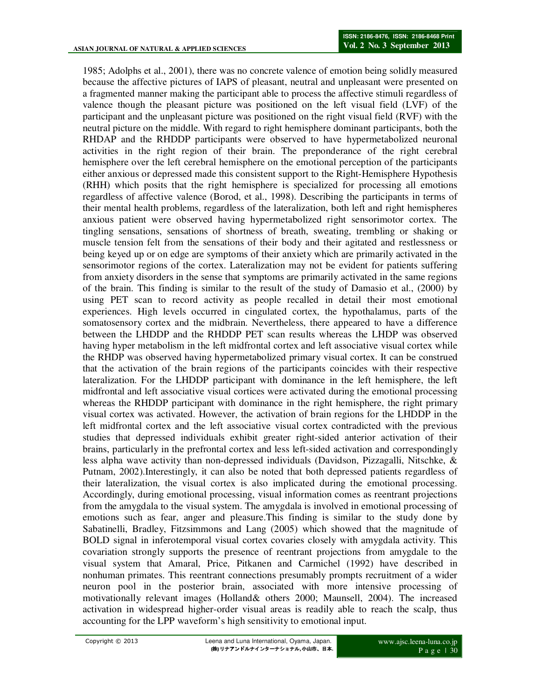1985; Adolphs et al., 2001), there was no concrete valence of emotion being solidly measured because the affective pictures of IAPS of pleasant, neutral and unpleasant were presented on a fragmented manner making the participant able to process the affective stimuli regardless of valence though the pleasant picture was positioned on the left visual field (LVF) of the participant and the unpleasant picture was positioned on the right visual field (RVF) with the neutral picture on the middle. With regard to right hemisphere dominant participants, both the RHDAP and the RHDDP participants were observed to have hypermetabolized neuronal activities in the right region of their brain. The preponderance of the right cerebral hemisphere over the left cerebral hemisphere on the emotional perception of the participants either anxious or depressed made this consistent support to the Right-Hemisphere Hypothesis (RHH) which posits that the right hemisphere is specialized for processing all emotions regardless of affective valence (Borod, et al., 1998). Describing the participants in terms of their mental health problems, regardless of the lateralization, both left and right hemispheres anxious patient were observed having hypermetabolized right sensorimotor cortex. The tingling sensations, sensations of shortness of breath, sweating, trembling or shaking or muscle tension felt from the sensations of their body and their agitated and restlessness or being keyed up or on edge are symptoms of their anxiety which are primarily activated in the sensorimotor regions of the cortex. Lateralization may not be evident for patients suffering from anxiety disorders in the sense that symptoms are primarily activated in the same regions of the brain. This finding is similar to the result of the study of Damasio et al., (2000) by using PET scan to record activity as people recalled in detail their most emotional experiences. High levels occurred in cingulated cortex, the hypothalamus, parts of the somatosensory cortex and the midbrain. Nevertheless, there appeared to have a difference between the LHDDP and the RHDDP PET scan results whereas the LHDP was observed having hyper metabolism in the left midfrontal cortex and left associative visual cortex while the RHDP was observed having hypermetabolized primary visual cortex. It can be construed that the activation of the brain regions of the participants coincides with their respective lateralization. For the LHDDP participant with dominance in the left hemisphere, the left midfrontal and left associative visual cortices were activated during the emotional processing whereas the RHDDP participant with dominance in the right hemisphere, the right primary visual cortex was activated. However, the activation of brain regions for the LHDDP in the left midfrontal cortex and the left associative visual cortex contradicted with the previous studies that depressed individuals exhibit greater right-sided anterior activation of their brains, particularly in the prefrontal cortex and less left-sided activation and correspondingly less alpha wave activity than non-depressed individuals (Davidson, Pizzagalli, Nitschke, & Putnam, 2002).Interestingly, it can also be noted that both depressed patients regardless of their lateralization, the visual cortex is also implicated during the emotional processing. Accordingly, during emotional processing, visual information comes as reentrant projections from the amygdala to the visual system. The amygdala is involved in emotional processing of emotions such as fear, anger and pleasure.This finding is similar to the study done by Sabatinelli, Bradley, Fitzsimmons and Lang (2005) which showed that the magnitude of BOLD signal in inferotemporal visual cortex covaries closely with amygdala activity. This covariation strongly supports the presence of reentrant projections from amygdale to the visual system that Amaral, Price, Pitkanen and Carmichel (1992) have described in nonhuman primates. This reentrant connections presumably prompts recruitment of a wider neuron pool in the posterior brain, associated with more intensive processing of motivationally relevant images (Holland& others 2000; Maunsell, 2004). The increased activation in widespread higher-order visual areas is readily able to reach the scalp, thus accounting for the LPP waveform's high sensitivity to emotional input.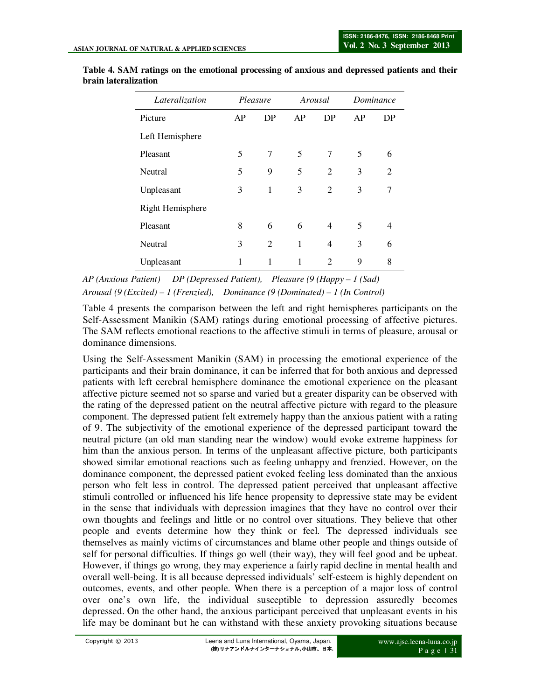| Lateralization          | Pleasure |                | Arousal |                | Dominance |                          |
|-------------------------|----------|----------------|---------|----------------|-----------|--------------------------|
| Picture                 | AP       | DP             | AP      | DP             | AP        | DP                       |
| Left Hemisphere         |          |                |         |                |           |                          |
| Pleasant                | 5        | 7              | 5       | 7              | 5         | 6                        |
| Neutral                 | 5        | 9              | 5       | $\mathfrak{D}$ | 3         | $\mathfrak{D}$           |
| Unpleasant              | 3        | 1              | 3       | $\overline{2}$ | 3         | 7                        |
| <b>Right Hemisphere</b> |          |                |         |                |           |                          |
| Pleasant                | 8        | 6              | 6       | $\overline{4}$ | 5         | $\overline{\mathcal{A}}$ |
| Neutral                 | 3        | $\mathfrak{D}$ | 1       | 4              | 3         | 6                        |
| Unpleasant              | 1        | 1              |         | $\overline{2}$ | 9         | 8                        |

**Table 4. SAM ratings on the emotional processing of anxious and depressed patients and their brain lateralization** 

*AP (Anxious Patient) DP (Depressed Patient), Pleasure (9 (Happy – 1 (Sad) Arousal (9 (Excited) – 1 (Frenzied), Dominance (9 (Dominated) – 1 (In Control)* 

Table 4 presents the comparison between the left and right hemispheres participants on the Self-Assessment Manikin (SAM) ratings during emotional processing of affective pictures. The SAM reflects emotional reactions to the affective stimuli in terms of pleasure, arousal or dominance dimensions.

Using the Self-Assessment Manikin (SAM) in processing the emotional experience of the participants and their brain dominance, it can be inferred that for both anxious and depressed patients with left cerebral hemisphere dominance the emotional experience on the pleasant affective picture seemed not so sparse and varied but a greater disparity can be observed with the rating of the depressed patient on the neutral affective picture with regard to the pleasure component. The depressed patient felt extremely happy than the anxious patient with a rating of 9. The subjectivity of the emotional experience of the depressed participant toward the neutral picture (an old man standing near the window) would evoke extreme happiness for him than the anxious person. In terms of the unpleasant affective picture, both participants showed similar emotional reactions such as feeling unhappy and frenzied. However, on the dominance component, the depressed patient evoked feeling less dominated than the anxious person who felt less in control. The depressed patient perceived that unpleasant affective stimuli controlled or influenced his life hence propensity to depressive state may be evident in the sense that individuals with depression imagines that they have no control over their own thoughts and feelings and little or no control over situations. They believe that other people and events determine how they think or feel. The depressed individuals see themselves as mainly victims of circumstances and blame other people and things outside of self for personal difficulties. If things go well (their way), they will feel good and be upbeat. However, if things go wrong, they may experience a fairly rapid decline in mental health and overall well-being. It is all because depressed individuals' self-esteem is highly dependent on outcomes, events, and other people. When there is a perception of a major loss of control over one's own life, the individual susceptible to depression assuredly becomes depressed. On the other hand, the anxious participant perceived that unpleasant events in his life may be dominant but he can withstand with these anxiety provoking situations because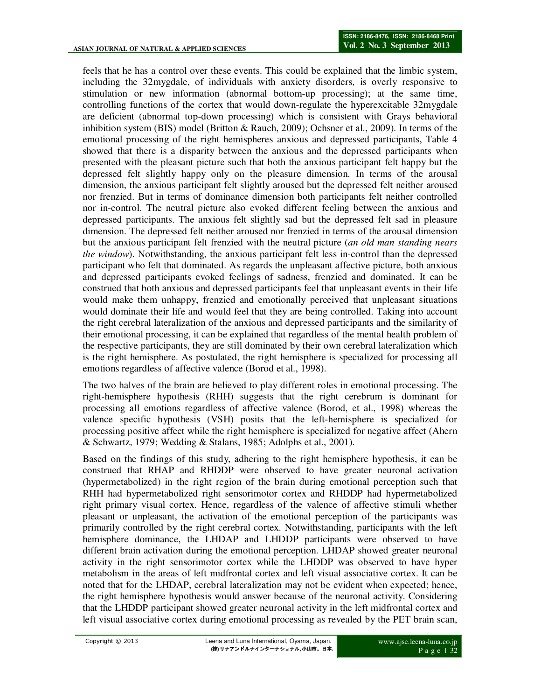feels that he has a control over these events. This could be explained that the limbic system, including the 32mygdale, of individuals with anxiety disorders, is overly responsive to stimulation or new information (abnormal bottom-up processing); at the same time, controlling functions of the cortex that would down-regulate the hyperexcitable 32mygdale are deficient (abnormal top-down processing) which is consistent with Grays behavioral inhibition system (BIS) model (Britton & Rauch, 2009); Ochsner et al., 2009). In terms of the emotional processing of the right hemispheres anxious and depressed participants, Table 4 showed that there is a disparity between the anxious and the depressed participants when presented with the pleasant picture such that both the anxious participant felt happy but the depressed felt slightly happy only on the pleasure dimension. In terms of the arousal dimension, the anxious participant felt slightly aroused but the depressed felt neither aroused nor frenzied. But in terms of dominance dimension both participants felt neither controlled nor in-control. The neutral picture also evoked different feeling between the anxious and depressed participants. The anxious felt slightly sad but the depressed felt sad in pleasure dimension. The depressed felt neither aroused nor frenzied in terms of the arousal dimension but the anxious participant felt frenzied with the neutral picture (*an old man standing nears the window*). Notwithstanding, the anxious participant felt less in-control than the depressed participant who felt that dominated. As regards the unpleasant affective picture, both anxious and depressed participants evoked feelings of sadness, frenzied and dominated. It can be construed that both anxious and depressed participants feel that unpleasant events in their life would make them unhappy, frenzied and emotionally perceived that unpleasant situations would dominate their life and would feel that they are being controlled. Taking into account the right cerebral lateralization of the anxious and depressed participants and the similarity of their emotional processing, it can be explained that regardless of the mental health problem of the respective participants, they are still dominated by their own cerebral lateralization which is the right hemisphere. As postulated, the right hemisphere is specialized for processing all emotions regardless of affective valence (Borod et al., 1998).

The two halves of the brain are believed to play different roles in emotional processing. The right-hemisphere hypothesis (RHH) suggests that the right cerebrum is dominant for processing all emotions regardless of affective valence (Borod, et al., 1998) whereas the valence specific hypothesis (VSH) posits that the left-hemisphere is specialized for processing positive affect while the right hemisphere is specialized for negative affect (Ahern & Schwartz, 1979; Wedding & Stalans, 1985; Adolphs et al., 2001).

Based on the findings of this study, adhering to the right hemisphere hypothesis, it can be construed that RHAP and RHDDP were observed to have greater neuronal activation (hypermetabolized) in the right region of the brain during emotional perception such that RHH had hypermetabolized right sensorimotor cortex and RHDDP had hypermetabolized right primary visual cortex. Hence, regardless of the valence of affective stimuli whether pleasant or unpleasant, the activation of the emotional perception of the participants was primarily controlled by the right cerebral cortex. Notwithstanding, participants with the left hemisphere dominance, the LHDAP and LHDDP participants were observed to have different brain activation during the emotional perception. LHDAP showed greater neuronal activity in the right sensorimotor cortex while the LHDDP was observed to have hyper metabolism in the areas of left midfrontal cortex and left visual associative cortex. It can be noted that for the LHDAP, cerebral lateralization may not be evident when expected; hence, the right hemisphere hypothesis would answer because of the neuronal activity. Considering that the LHDDP participant showed greater neuronal activity in the left midfrontal cortex and left visual associative cortex during emotional processing as revealed by the PET brain scan,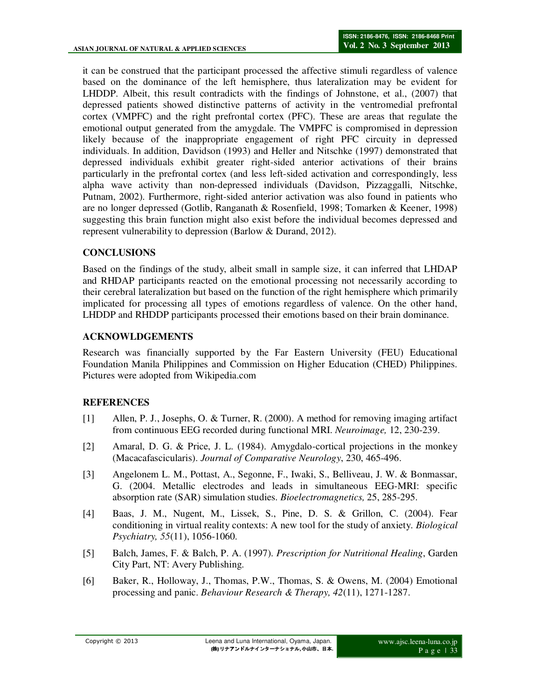it can be construed that the participant processed the affective stimuli regardless of valence based on the dominance of the left hemisphere, thus lateralization may be evident for LHDDP. Albeit, this result contradicts with the findings of Johnstone, et al., (2007) that depressed patients showed distinctive patterns of activity in the ventromedial prefrontal cortex (VMPFC) and the right prefrontal cortex (PFC). These are areas that regulate the emotional output generated from the amygdale. The VMPFC is compromised in depression likely because of the inappropriate engagement of right PFC circuity in depressed individuals. In addition, Davidson (1993) and Heller and Nitschke (1997) demonstrated that depressed individuals exhibit greater right-sided anterior activations of their brains particularly in the prefrontal cortex (and less left-sided activation and correspondingly, less alpha wave activity than non-depressed individuals (Davidson, Pizzaggalli, Nitschke, Putnam, 2002). Furthermore, right-sided anterior activation was also found in patients who are no longer depressed (Gotlib, Ranganath & Rosenfield, 1998; Tomarken & Keener, 1998) suggesting this brain function might also exist before the individual becomes depressed and represent vulnerability to depression (Barlow & Durand, 2012).

# **CONCLUSIONS**

Based on the findings of the study, albeit small in sample size, it can inferred that LHDAP and RHDAP participants reacted on the emotional processing not necessarily according to their cerebral lateralization but based on the function of the right hemisphere which primarily implicated for processing all types of emotions regardless of valence. On the other hand, LHDDP and RHDDP participants processed their emotions based on their brain dominance.

### **ACKNOWLDGEMENTS**

Research was financially supported by the Far Eastern University (FEU) Educational Foundation Manila Philippines and Commission on Higher Education (CHED) Philippines. Pictures were adopted from Wikipedia.com

### **REFERENCES**

- [1] Allen, P. J., Josephs, O. & Turner, R. (2000). A method for removing imaging artifact from continuous EEG recorded during functional MRI. *Neuroimage,* 12, 230-239.
- [2] Amaral, D. G. & Price, J. L. (1984). Amygdalo-cortical projections in the monkey (Macacafascicularis). *Journal of Comparative Neurology*, 230, 465-496.
- [3] Angelonem L. M., Pottast, A., Segonne, F., Iwaki, S., Belliveau, J. W. & Bonmassar, G. (2004. Metallic electrodes and leads in simultaneous EEG-MRI: specific absorption rate (SAR) simulation studies. *Bioelectromagnetics,* 25, 285-295.
- [4] Baas, J. M., Nugent, M., Lissek, S., Pine, D. S. & Grillon, C. (2004). Fear conditioning in virtual reality contexts: A new tool for the study of anxiety. *Biological Psychiatry, 55*(11), 1056-1060.
- [5] Balch, James, F. & Balch, P. A. (1997). *Prescription for Nutritional Healing*, Garden City Part, NT: Avery Publishing.
- [6] Baker, R., Holloway, J., Thomas, P.W., Thomas, S. & Owens, M. (2004) Emotional processing and panic. *Behaviour Research & Therapy, 42*(11), 1271-1287.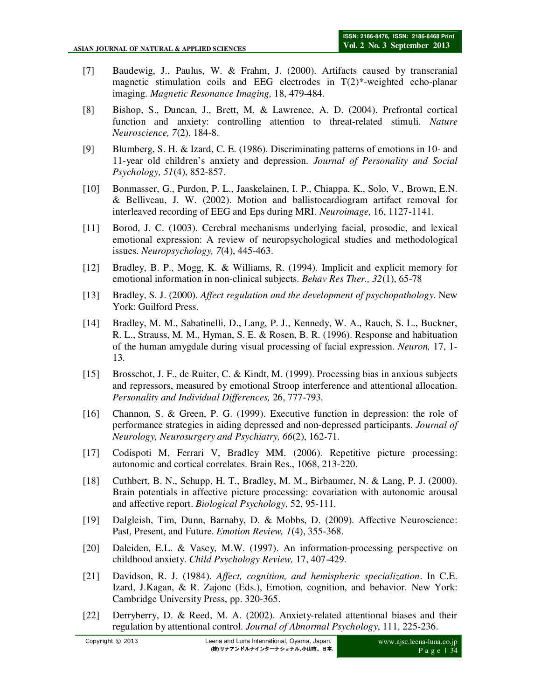- [7] Baudewig, J., Paulus, W. & Frahm, J. (2000). Artifacts caused by transcranial magnetic stimulation coils and EEG electrodes in T(2)\*-weighted echo-planar imaging. *Magnetic Resonance Imaging,* 18, 479-484.
- [8] Bishop, S., Duncan, J., Brett, M. & Lawrence, A. D. (2004). Prefrontal cortical function and anxiety: controlling attention to threat-related stimuli. *Nature Neuroscience, 7*(2), 184-8.
- [9] Blumberg, S. H. & Izard, C. E. (1986). Discriminating patterns of emotions in 10- and 11-year old children's anxiety and depression. *Journal of Personality and Social Psychology, 51*(4), 852-857.
- [10] Bonmasser, G., Purdon, P. L., Jaaskelainen, I. P., Chiappa, K., Solo, V., Brown, E.N. & Belliveau, J. W. (2002). Motion and ballistocardiogram artifact removal for interleaved recording of EEG and Eps during MRI. *Neuroimage,* 16, 1127-1141.
- [11] Borod, J. C. (1003). Cerebral mechanisms underlying facial, prosodic, and lexical emotional expression: A review of neuropsychological studies and methodological issues. *Neuropsychology, 7*(4), 445-463.
- [12] Bradley, B. P., Mogg, K. & Williams, R. (1994). Implicit and explicit memory for emotional information in non-clinical subjects. *Behav Res Ther., 32*(1), 65-78
- [13] Bradley, S. J. (2000). *Affect regulation and the development of psychopathology*. New York: Guilford Press.
- [14] Bradley, M. M., Sabatinelli, D., Lang, P. J., Kennedy, W. A., Rauch, S. L., Buckner, R. L., Strauss, M. M., Hyman, S. E. & Rosen, B. R. (1996). Response and habituation of the human amygdale during visual processing of facial expression. *Neuron,* 17, 1- 13.
- [15] Brosschot, J. F., de Ruiter, C. & Kindt, M. (1999). Processing bias in anxious subjects and repressors, measured by emotional Stroop interference and attentional allocation. *Personality and Individual Differences,* 26, 777-793.
- [16] Channon, S. & Green, P. G. (1999). Executive function in depression: the role of performance strategies in aiding depressed and non-depressed participants. *Journal of Neurology, Neurosurgery and Psychiatry, 66*(2), 162-71.
- [17] Codispoti M, Ferrari V, Bradley MM. (2006). Repetitive picture processing: autonomic and cortical correlates. Brain Res., 1068, 213-220.
- [18] Cuthbert, B. N., Schupp, H. T., Bradley, M. M., Birbaumer, N. & Lang, P. J. (2000). Brain potentials in affective picture processing: covariation with autonomic arousal and affective report. *Biological Psychology,* 52, 95-111.
- [19] Dalgleish, Tim, Dunn, Barnaby, D. & Mobbs, D. (2009). Affective Neuroscience: Past, Present, and Future. *Emotion Review, 1*(4), 355-368.
- [20] Daleiden, E.L. & Vasey, M.W. (1997). An information-processing perspective on childhood anxiety. *Child Psychology Review,* 17, 407-429.
- [21] Davidson, R. J. (1984). *Affect, cognition, and hemispheric specialization*. In C.E. Izard, J.Kagan, & R. Zajonc (Eds.), Emotion, cognition, and behavior. New York: Cambridge University Press, pp. 320-365.
- [22] Derryberry, D. & Reed, M. A. (2002). Anxiety-related attentional biases and their regulation by attentional control. *Journal of Abnormal Psychology*, 111, 225-236.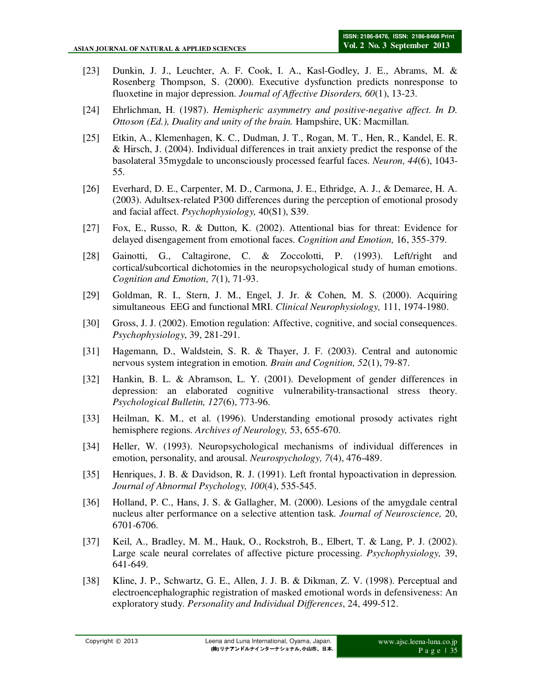- [23] Dunkin, J. J., Leuchter, A. F. Cook, I. A., Kasl-Godley, J. E., Abrams, M. & Rosenberg Thompson, S. (2000). Executive dysfunction predicts nonresponse to fluoxetine in major depression. *Journal of Affective Disorders, 60*(1), 13-23.
- [24] Ehrlichman, H. (1987). *Hemispheric asymmetry and positive-negative affect. In D. Ottoson (Ed.), Duality and unity of the brain.* Hampshire, UK: Macmillan.
- [25] Etkin, A., Klemenhagen, K. C., Dudman, J. T., Rogan, M. T., Hen, R., Kandel, E. R. & Hirsch, J. (2004). Individual differences in trait anxiety predict the response of the basolateral 35mygdale to unconsciously processed fearful faces. *Neuron, 44*(6), 1043- 55.
- [26] Everhard, D. E., Carpenter, M. D., Carmona, J. E., Ethridge, A. J., & Demaree, H. A. (2003). Adultsex-related P300 differences during the perception of emotional prosody and facial affect. *Psychophysiology,* 40(S1), S39.
- [27] Fox, E., Russo, R. & Dutton, K. (2002). Attentional bias for threat: Evidence for delayed disengagement from emotional faces. *Cognition and Emotion,* 16, 355-379.
- [28] Gainotti, G., Caltagirone, C. & Zoccolotti, P. (1993). Left/right and cortical/subcortical dichotomies in the neuropsychological study of human emotions. *Cognition and Emotion, 7*(1), 71-93.
- [29] Goldman, R. I., Stern, J. M., Engel, J. Jr. & Cohen, M. S. (2000). Acquiring simultaneous EEG and functional MRI. *Clinical Neurophysiology,* 111, 1974-1980.
- [30] Gross, J. J. (2002). Emotion regulation: Affective, cognitive, and social consequences. *Psychophysiology*, 39, 281-291.
- [31] Hagemann, D., Waldstein, S. R. & Thayer, J. F. (2003). Central and autonomic nervous system integration in emotion. *Brain and Cognition, 52*(1), 79-87.
- [32] Hankin, B. L. & Abramson, L. Y. (2001). Development of gender differences in depression: an elaborated cognitive vulnerability-transactional stress theory. *Psychological Bulletin, 127*(6), 773-96.
- [33] Heilman, K. M., et al. (1996). Understanding emotional prosody activates right hemisphere regions. *Archives of Neurology,* 53, 655-670.
- [34] Heller, W. (1993). Neuropsychological mechanisms of individual differences in emotion, personality, and arousal. *Neurospychology, 7*(4), 476-489.
- [35] Henriques, J. B. & Davidson, R. J. (1991). Left frontal hypoactivation in depression*. Journal of Abnormal Psychology, 100*(4), 535-545.
- [36] Holland, P. C., Hans, J. S. & Gallagher, M. (2000). Lesions of the amygdale central nucleus alter performance on a selective attention task. *Journal of Neuroscience,* 20, 6701-6706.
- [37] Keil, A., Bradley, M. M., Hauk, O., Rockstroh, B., Elbert, T. & Lang, P. J. (2002). Large scale neural correlates of affective picture processing. *Psychophysiology,* 39, 641-649.
- [38] Kline, J. P., Schwartz, G. E., Allen, J. J. B. & Dikman, Z. V. (1998). Perceptual and electroencephalographic registration of masked emotional words in defensiveness: An exploratory study. *Personality and Individual Differences*, 24, 499-512.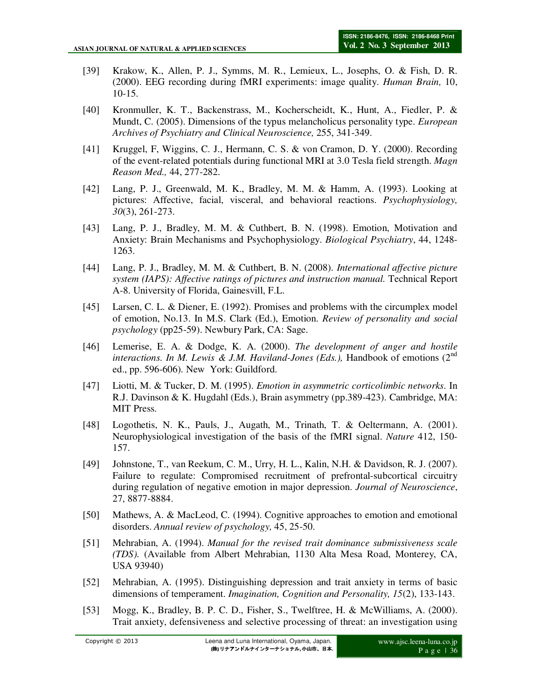- [39] Krakow, K., Allen, P. J., Symms, M. R., Lemieux, L., Josephs, O. & Fish, D. R. (2000). EEG recording during fMRI experiments: image quality. *Human Brain,* 10, 10-15.
- [40] Kronmuller, K. T., Backenstrass, M., Kocherscheidt, K., Hunt, A., Fiedler, P. & Mundt, C. (2005). Dimensions of the typus melancholicus personality type. *European Archives of Psychiatry and Clinical Neuroscience,* 255, 341-349.
- [41] Kruggel, F, Wiggins, C. J., Hermann, C. S. & von Cramon, D. Y. (2000). Recording of the event-related potentials during functional MRI at 3.0 Tesla field strength. *Magn Reason Med.,* 44, 277-282.
- [42] Lang, P. J., Greenwald, M. K., Bradley, M. M. & Hamm, A. (1993). Looking at pictures: Affective, facial, visceral, and behavioral reactions. *Psychophysiology, 30*(3), 261-273.
- [43] Lang, P. J., Bradley, M. M. & Cuthbert, B. N. (1998). Emotion, Motivation and Anxiety: Brain Mechanisms and Psychophysiology. *Biological Psychiatry*, 44, 1248- 1263.
- [44] Lang, P. J., Bradley, M. M. & Cuthbert, B. N. (2008). *International affective picture system (IAPS): Affective ratings of pictures and instruction manual.* Technical Report A-8. University of Florida, Gainesvill, F.L.
- [45] Larsen, C. L. & Diener, E. (1992). Promises and problems with the circumplex model of emotion, No.13. In M.S. Clark (Ed.), Emotion. *Review of personality and social psychology* (pp25-59). Newbury Park, CA: Sage.
- [46] Lemerise, E. A. & Dodge, K. A. (2000). *The development of anger and hostile interactions. In M. Lewis & J.M. Haviland-Jones (Eds.),* Handbook of emotions  $(2^{nd}$ ed., pp. 596-606). New York: Guildford.
- [47] Liotti, M. & Tucker, D. M. (1995). *Emotion in asymmetric corticolimbic networks*. In R.J. Davinson & K. Hugdahl (Eds.), Brain asymmetry (pp.389-423). Cambridge, MA: MIT Press.
- [48] Logothetis, N. K., Pauls, J., Augath, M., Trinath, T. & Oeltermann, A. (2001). Neurophysiological investigation of the basis of the fMRI signal. *Nature* 412, 150- 157.
- [49] Johnstone, T., van Reekum, C. M., Urry, H. L., Kalin, N.H. & Davidson, R. J. (2007). Failure to regulate: Compromised recruitment of prefrontal-subcortical circuitry during regulation of negative emotion in major depression. *Journal of Neuroscience*, 27, 8877-8884.
- [50] Mathews, A. & MacLeod, C. (1994). Cognitive approaches to emotion and emotional disorders. *Annual review of psychology,* 45, 25-50.
- [51] Mehrabian, A. (1994). *Manual for the revised trait dominance submissiveness scale (TDS).* (Available from Albert Mehrabian, 1130 Alta Mesa Road, Monterey, CA, USA 93940)
- [52] Mehrabian, A. (1995). Distinguishing depression and trait anxiety in terms of basic dimensions of temperament. *Imagination, Cognition and Personality, 15*(2), 133-143.
- [53] Mogg, K., Bradley, B. P. C. D., Fisher, S., Twelftree, H. & McWilliams, A. (2000). Trait anxiety, defensiveness and selective processing of threat: an investigation using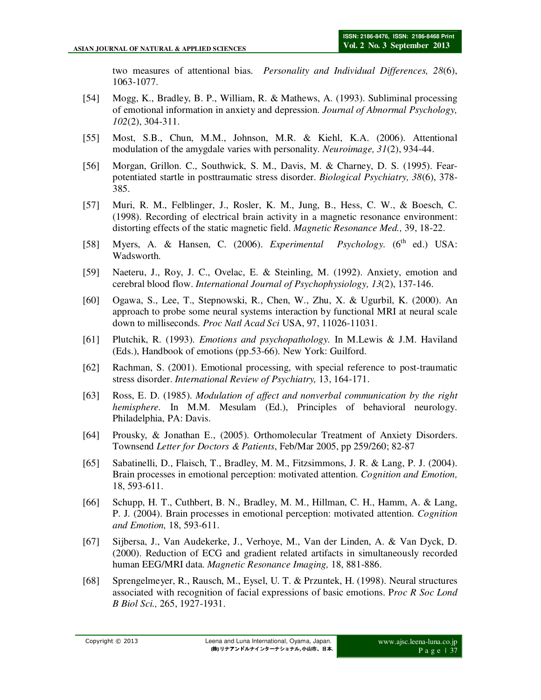two measures of attentional bias. *Personality and Individual Differences, 28*(6), 1063-1077.

- [54] Mogg, K., Bradley, B. P., William, R. & Mathews, A. (1993). Subliminal processing of emotional information in anxiety and depression. *Journal of Abnormal Psychology, 102*(2), 304-311.
- [55] Most, S.B., Chun, M.M., Johnson, M.R. & Kiehl, K.A. (2006). Attentional modulation of the amygdale varies with personality. *Neuroimage, 31*(2), 934-44.
- [56] Morgan, Grillon. C., Southwick, S. M., Davis, M. & Charney, D. S. (1995). Fearpotentiated startle in posttraumatic stress disorder. *Biological Psychiatry, 38*(6), 378- 385.
- [57] Muri, R. M., Felblinger, J., Rosler, K. M., Jung, B., Hess, C. W., & Boesch, C. (1998). Recording of electrical brain activity in a magnetic resonance environment: distorting effects of the static magnetic field. *Magnetic Resonance Med.,* 39, 18-22.
- [58] Myers, A. & Hansen, C. (2006). *Experimental Psychology*. (6<sup>th</sup> ed.) USA: Wadsworth.
- [59] Naeteru, J., Roy, J. C., Ovelac, E. & Steinling, M. (1992). Anxiety, emotion and cerebral blood flow. *International Journal of Psychophysiology, 13*(2), 137-146.
- [60] Ogawa, S., Lee, T., Stepnowski, R., Chen, W., Zhu, X. & Ugurbil, K. (2000). An approach to probe some neural systems interaction by functional MRI at neural scale down to milliseconds. *Proc Natl Acad Sci* USA, 97, 11026-11031.
- [61] Plutchik, R. (1993). *Emotions and psychopathology.* In M.Lewis & J.M. Haviland (Eds.), Handbook of emotions (pp.53-66). New York: Guilford.
- [62] Rachman, S. (2001). Emotional processing, with special reference to post-traumatic stress disorder. *International Review of Psychiatry,* 13, 164-171.
- [63] Ross, E. D. (1985). *Modulation of affect and nonverbal communication by the right hemisphere.* In M.M. Mesulam (Ed.), Principles of behavioral neurology. Philadelphia, PA: Davis.
- [64] Prousky, & Jonathan E., (2005). Orthomolecular Treatment of Anxiety Disorders. Townsend *Letter for Doctors & Patients*, Feb/Mar 2005, pp 259/260; 82-87
- [65] Sabatinelli, D., Flaisch, T., Bradley, M. M., Fitzsimmons, J. R. & Lang, P. J. (2004). Brain processes in emotional perception: motivated attention. *Cognition and Emotion,* 18, 593-611.
- [66] Schupp, H. T., Cuthbert, B. N., Bradley, M. M., Hillman, C. H., Hamm, A. & Lang, P. J. (2004). Brain processes in emotional perception: motivated attention. *Cognition and Emotion,* 18, 593-611.
- [67] Sijbersa, J., Van Audekerke, J., Verhoye, M., Van der Linden, A. & Van Dyck, D. (2000). Reduction of ECG and gradient related artifacts in simultaneously recorded human EEG/MRI data. *Magnetic Resonance Imaging,* 18, 881-886.
- [68] Sprengelmeyer, R., Rausch, M., Eysel, U. T. & Przuntek, H. (1998). Neural structures associated with recognition of facial expressions of basic emotions. P*roc R Soc Lond B Biol Sci.,* 265, 1927-1931.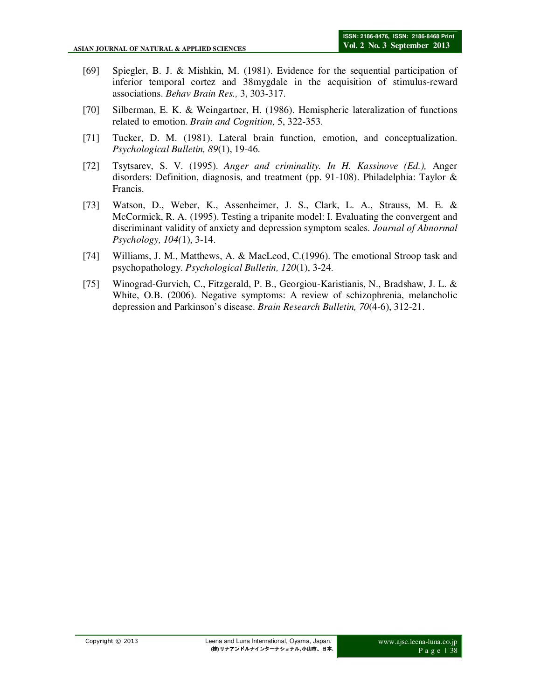- [69] Spiegler, B. J. & Mishkin, M. (1981). Evidence for the sequential participation of inferior temporal cortez and 38mygdale in the acquisition of stimulus-reward associations. *Behav Brain Res.,* 3, 303-317.
- [70] Silberman, E. K. & Weingartner, H. (1986). Hemispheric lateralization of functions related to emotion. *Brain and Cognition,* 5, 322-353.
- [71] Tucker, D. M. (1981). Lateral brain function, emotion, and conceptualization. *Psychological Bulletin, 89*(1), 19-46.
- [72] Tsytsarev, S. V. (1995). *Anger and criminality. In H. Kassinove (Ed.),* Anger disorders: Definition, diagnosis, and treatment (pp. 91-108). Philadelphia: Taylor & Francis.
- [73] Watson, D., Weber, K., Assenheimer, J. S., Clark, L. A., Strauss, M. E. & McCormick, R. A. (1995). Testing a tripanite model: I. Evaluating the convergent and discriminant validity of anxiety and depression symptom scales. *Journal of Abnormal Psychology, 104(*1), 3-14.
- [74] Williams, J. M., Matthews, A. & MacLeod, C.(1996). The emotional Stroop task and psychopathology. *Psychological Bulletin, 120*(1), 3-24.
- [75] Winograd-Gurvich, C., Fitzgerald, P. B., Georgiou-Karistianis, N., Bradshaw, J. L. & White, O.B. (2006). Negative symptoms: A review of schizophrenia, melancholic depression and Parkinson's disease. *Brain Research Bulletin, 70*(4-6), 312-21.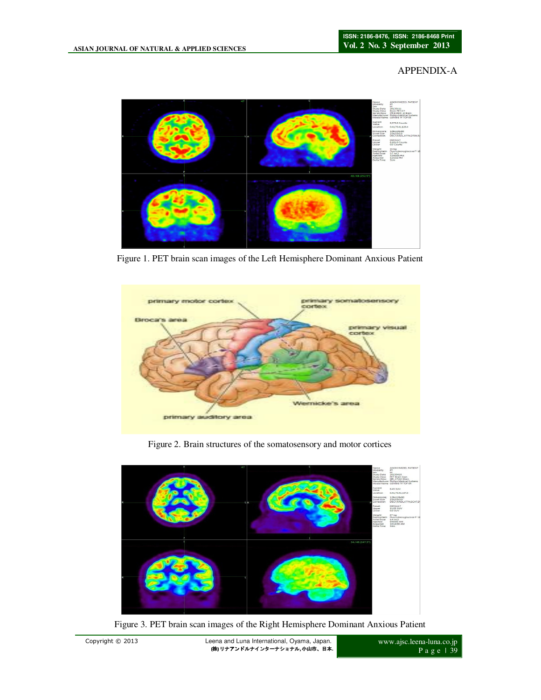### APPENDIX-A



Figure 1. PET brain scan images of the Left Hemisphere Dominant Anxious Patient



Figure 2. Brain structures of the somatosensory and motor cortices



Figure 3. PET brain scan images of the Right Hemisphere Dominant Anxious Patient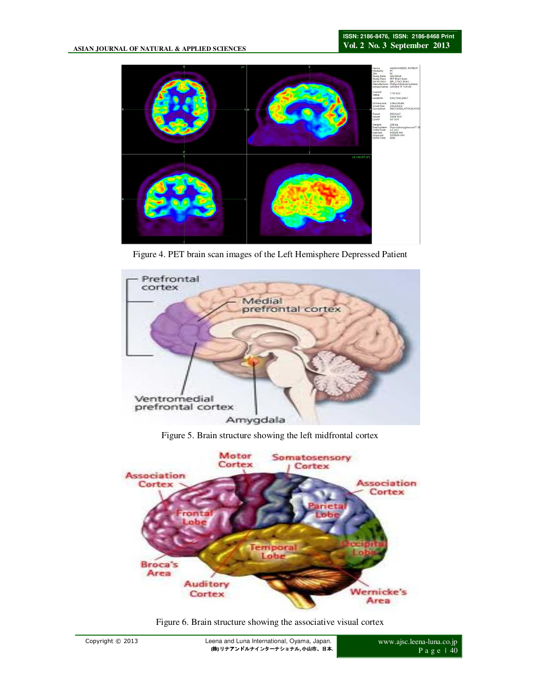

Figure 4. PET brain scan images of the Left Hemisphere Depressed Patient



Figure 5. Brain structure showing the left midfrontal cortex



Figure 6. Brain structure showing the associative visual cortex